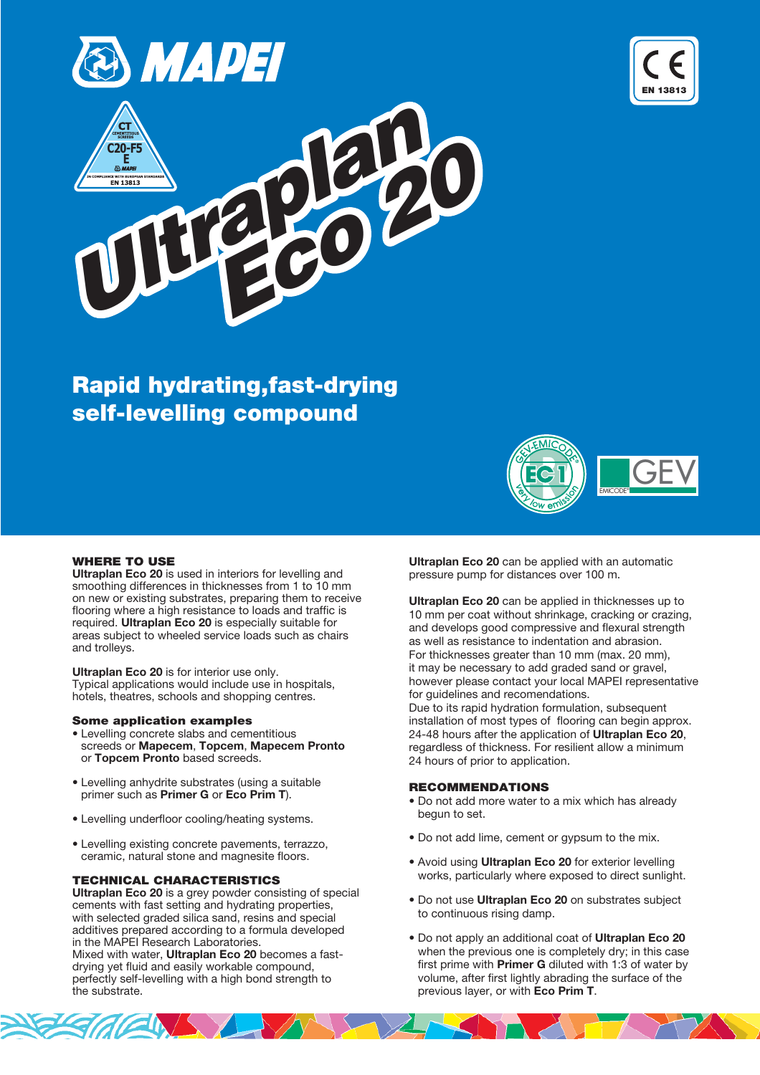





# Rapid hydrating,fast-drying self-levelling compound



#### WHERE TO USE

Ultraplan Eco 20 is used in interiors for levelling and smoothing differences in thicknesses from 1 to 10 mm on new or existing substrates, preparing them to receive flooring where a high resistance to loads and traffic is required. Ultraplan Eco 20 is especially suitable for areas subject to wheeled service loads such as chairs and trolleys.

Ultraplan Eco 20 is for interior use only. Typical applications would include use in hospitals, hotels, theatres, schools and shopping centres.

#### Some application examples

- Levelling concrete slabs and cementitious screeds or Mapecem, Topcem, Mapecem Pronto or Topcem Pronto based screeds.
- Levelling anhydrite substrates (using a suitable primer such as Primer G or Eco Prim T).
- Levelling underfloor cooling/heating systems.
- Levelling existing concrete pavements, terrazzo, ceramic, natural stone and magnesite floors.

## TECHNICAL CHARACTERISTICS

Ultraplan Eco 20 is a grey powder consisting of special cements with fast setting and hydrating properties, with selected graded silica sand, resins and special additives prepared according to a formula developed in the MAPEI Research Laboratories.

Mixed with water, Ultraplan Eco 20 becomes a fastdrying yet fluid and easily workable compound, perfectly self-levelling with a high bond strength to the substrate.

Ultraplan Eco 20 can be applied with an automatic pressure pump for distances over 100 m.

Ultraplan Eco 20 can be applied in thicknesses up to 10 mm per coat without shrinkage, cracking or crazing, and develops good compressive and flexural strength as well as resistance to indentation and abrasion. For thicknesses greater than 10 mm (max. 20 mm), it may be necessary to add graded sand or gravel, however please contact your local MAPEI representative for guidelines and recomendations. Due to its rapid hydration formulation, subsequent installation of most types of flooring can begin approx. 24-48 hours after the application of Ultraplan Eco 20, regardless of thickness. For resilient allow a minimum 24 hours of prior to application.

# RECOMMENDATIONS

- Do not add more water to a mix which has already begun to set.
- Do not add lime, cement or gypsum to the mix.
- Avoid using **Ultraplan Eco 20** for exterior levelling works, particularly where exposed to direct sunlight.
- Do not use Ultraplan Eco 20 on substrates subject to continuous rising damp.
- Do not apply an additional coat of Ultraplan Eco 20 when the previous one is completely dry; in this case first prime with **Primer G** diluted with 1:3 of water by volume, after first lightly abrading the surface of the previous layer, or with Eco Prim T.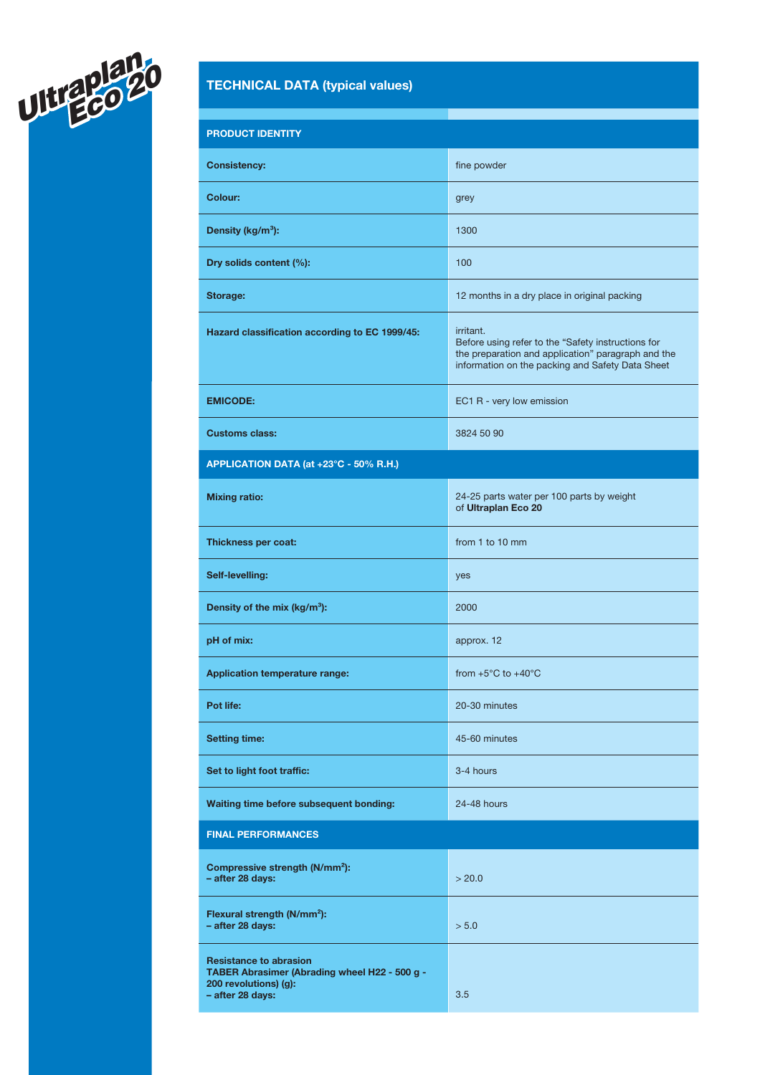

# TECHNICAL DATA (typical values)

| <b>PRODUCT IDENTITY</b>                                                                                                     |                                                                                                                                                                           |
|-----------------------------------------------------------------------------------------------------------------------------|---------------------------------------------------------------------------------------------------------------------------------------------------------------------------|
| <b>Consistency:</b>                                                                                                         | fine powder                                                                                                                                                               |
| <b>Colour:</b>                                                                                                              | grey                                                                                                                                                                      |
| Density (kg/m <sup>3</sup> ):                                                                                               | 1300                                                                                                                                                                      |
| Dry solids content (%):                                                                                                     | 100                                                                                                                                                                       |
| Storage:                                                                                                                    | 12 months in a dry place in original packing                                                                                                                              |
| Hazard classification according to EC 1999/45:                                                                              | irritant.<br>Before using refer to the "Safety instructions for<br>the preparation and application" paragraph and the<br>information on the packing and Safety Data Sheet |
| <b>EMICODE:</b>                                                                                                             | EC1 R - very low emission                                                                                                                                                 |
| <b>Customs class:</b>                                                                                                       | 3824 50 90                                                                                                                                                                |
| APPLICATION DATA (at +23°C - 50% R.H.)                                                                                      |                                                                                                                                                                           |
| <b>Mixing ratio:</b>                                                                                                        | 24-25 parts water per 100 parts by weight<br>of Ultraplan Eco 20                                                                                                          |
| Thickness per coat:                                                                                                         | from 1 to 10 mm                                                                                                                                                           |
| Self-levelling:                                                                                                             | yes                                                                                                                                                                       |
| Density of the mix (kg/m <sup>3</sup> ):                                                                                    | 2000                                                                                                                                                                      |
| pH of mix:                                                                                                                  | approx. 12                                                                                                                                                                |
| <b>Application temperature range:</b>                                                                                       | from $+5^{\circ}$ C to $+40^{\circ}$ C                                                                                                                                    |
| Pot life:                                                                                                                   | 20-30 minutes                                                                                                                                                             |
| <b>Setting time:</b>                                                                                                        | 45-60 minutes                                                                                                                                                             |
| Set to light foot traffic:                                                                                                  | 3-4 hours                                                                                                                                                                 |
| Waiting time before subsequent bonding:                                                                                     | 24-48 hours                                                                                                                                                               |
| <b>FINAL PERFORMANCES</b>                                                                                                   |                                                                                                                                                                           |
| Compressive strength (N/mm <sup>2</sup> ):<br>- after 28 days:                                                              | > 20.0                                                                                                                                                                    |
| Flexural strength (N/mm <sup>2</sup> ):<br>- after 28 days:                                                                 | > 5.0                                                                                                                                                                     |
| <b>Resistance to abrasion</b><br>TABER Abrasimer (Abrading wheel H22 - 500 g -<br>200 revolutions) (g):<br>- after 28 days: | 3.5                                                                                                                                                                       |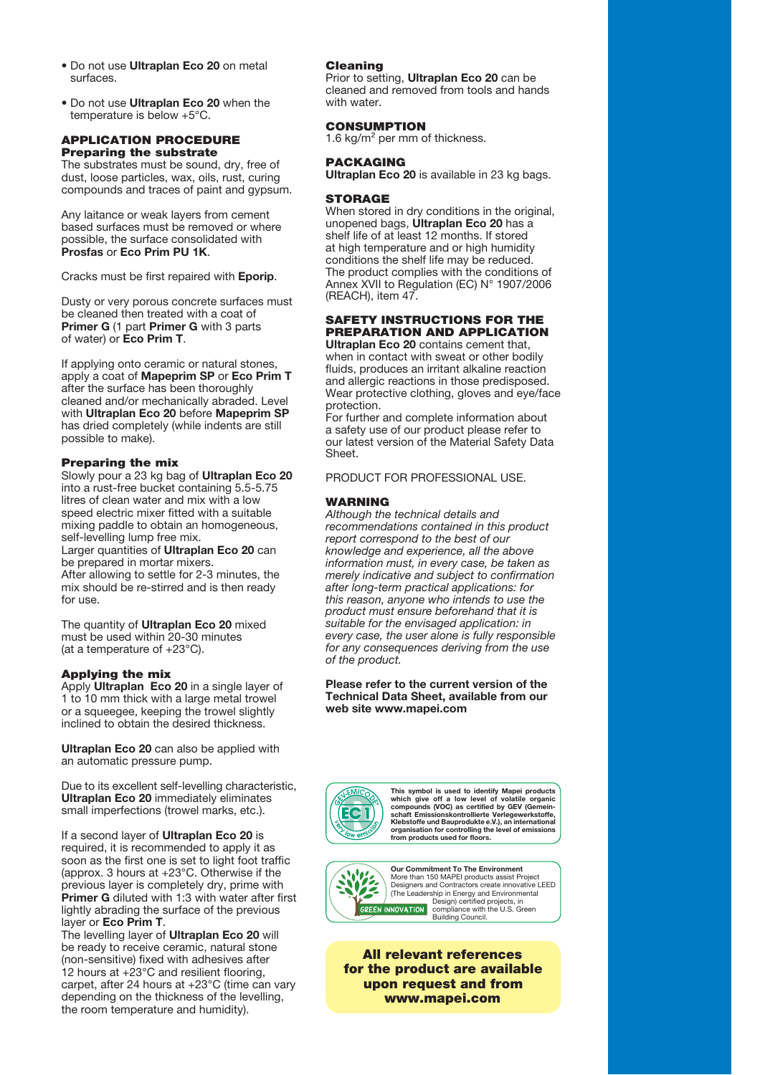- Do not use Ultraplan Eco 20 on metal surfaces.
- Do not use Ultraplan Eco 20 when the temperature is below +5°C.

#### APPLICATION PROCEDURE Preparing the substrate

The substrates must be sound, dry, free of dust, loose particles, wax, oils, rust, curing compounds and traces of paint and gypsum.

Any laitance or weak layers from cement based surfaces must be removed or where possible, the surface consolidated with Prosfas or Eco Prim PU 1K.

Cracks must be first repaired with Eporip.

Dusty or very porous concrete surfaces must be cleaned then treated with a coat of Primer G (1 part Primer G with 3 parts of water) or Eco Prim T.

If applying onto ceramic or natural stones, apply a coat of Mapeprim SP or Eco Prim T after the surface has been thoroughly cleaned and/or mechanically abraded. Level with Ultraplan Eco 20 before Mapeprim SP has dried completely (while indents are still possible to make).

### Preparing the mix

Slowly pour a 23 kg bag of Ultraplan Eco 20 into a rust-free bucket containing 5.5-5.75 litres of clean water and mix with a low speed electric mixer fitted with a suitable mixing paddle to obtain an homogeneous, self-levelling lump free mix.

Larger quantities of Ultraplan Eco 20 can be prepared in mortar mixers. After allowing to settle for 2-3 minutes, the mix should be re-stirred and is then ready for use.

The quantity of Ultraplan Eco 20 mixed must be used within 20-30 minutes (at a temperature of +23°C).

#### Applying the mix

Apply Ultraplan Eco 20 in a single layer of 1 to 10 mm thick with a large metal trowel or a squeegee, keeping the trowel slightly inclined to obtain the desired thickness.

Ultraplan Eco 20 can also be applied with an automatic pressure pump.

Due to its excellent self-levelling characteristic, Ultraplan Eco 20 immediately eliminates small imperfections (trowel marks, etc.).

If a second layer of Ultraplan Eco 20 is required, it is recommended to apply it as soon as the first one is set to light foot traffic (approx. 3 hours at +23°C. Otherwise if the previous layer is completely dry, prime with Primer G diluted with 1:3 with water after first lightly abrading the surface of the previous layer or Eco Prim T.

The levelling layer of Ultraplan Eco 20 will be ready to receive ceramic, natural stone (non-sensitive) fixed with adhesives after 12 hours at +23°C and resilient flooring, carpet, after 24 hours at +23°C (time can vary depending on the thickness of the levelling, the room temperature and humidity).

#### Cleaning

Prior to setting, Ultraplan Eco 20 can be cleaned and removed from tools and hands with water.

#### CONSUMPTION

1.6 kg/m<sup>2</sup> per mm of thickness.

#### PACKAGING

Ultraplan Eco 20 is available in 23 kg bags.

#### **STORAGE**

When stored in dry conditions in the original, unopened bags, Ultraplan Eco 20 has a shelf life of at least 12 months. If stored at high temperature and or high humidity conditions the shelf life may be reduced. The product complies with the conditions of Annex XVII to Regulation (EC) N° 1907/2006 (REACH), item 47.

#### SAFETY INSTRUCTIONS FOR THE PREPARATION AND APPLICATION Ultraplan Eco 20 contains cement that.

when in contact with sweat or other bodily fluids, produces an irritant alkaline reaction and allergic reactions in those predisposed. Wear protective clothing, gloves and eye/face protection.

For further and complete information about a safety use of our product please refer to our latest version of the Material Safety Data Sheet.

#### PRODUCT FOR PROFESSIONAL USE.

#### WARNING

Although the technical details and recommendations contained in this product report correspond to the best of our knowledge and experience, all the above information must, in every case, be taken as merely indicative and subject to confirmation after long-term practical applications: for this reason, anyone who intends to use the product must ensure beforehand that it is suitable for the envisaged application: in every case, the user alone is fully responsible for any consequences deriving from the use of the product.

#### Please refer to the current version of the Technical Data Sheet, available from our web site www.mapei.com



This symbol is used to identify Mapei products<br>which give off a low level of volatile organic<br>compounds (VOC) as certified by GEV (Gemein-<br>schaft Emissionskontrollierte Verlegewerkstoffe,<br>Klebstoffe und Bauprodukte e.V.), organisation for controlling the level of emissions from products used for floors.



Our Commitment To The Environment More than 150 MAPEI products assist Project Designers and Contractors create innovative LEED The Leadership in Energy and Environmental<br>Design) certified projects, in<br>NOVATION compliance with the U.S. Green<br>Building Council. INNOVATION

All relevant references for the product are available upon request and from www.mapei.com